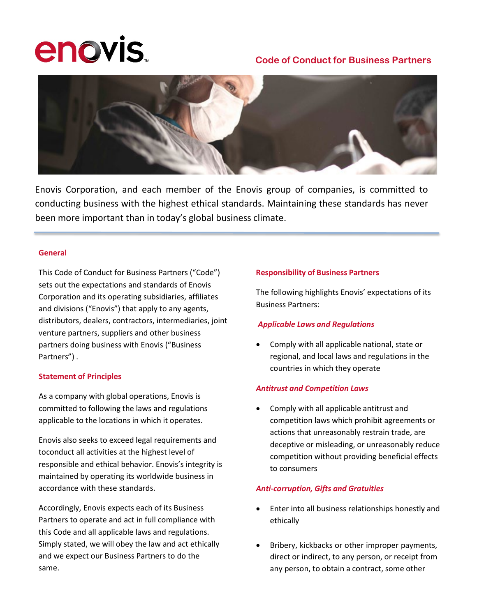# **enovis**

# **Code of Conduct for Business Partners**



Enovis Corporation, and each member of the Enovis group of companies, is committed to conducting business with the highest ethical standards. Maintaining these standards has never been more important than in today's global business climate.

#### **General**

This Code of Conduct for Business Partners ("Code") sets out the expectations and standards of Enovis Corporation and its operating subsidiaries, affiliates and divisions ("Enovis") that apply to any agents, distributors, dealers, contractors, intermediaries, joint venture partners, suppliers and other business partners doing business with Enovis ("Business Partners") .

#### **Statement of Principles**

As a company with global operations, Enovis is committed to following the laws and regulations applicable to the locations in which it operates.

Enovis also seeks to exceed legal requirements and toconduct all activities at the highest level of responsible and ethical behavior. Enovis's integrity is maintained by operating its worldwide business in accordance with these standards.

Accordingly, Enovis expects each of its Business Partners to operate and act in full compliance with this Code and all applicable laws and regulations. Simply stated, we will obey the law and act ethically and we expect our Business Partners to do the same.

#### **Responsibility of Business Partners**

The following highlights Enovis' expectations of its Business Partners:

# *Applicable Laws and Regulations*

• Comply with all applicable national, state or regional, and local laws and regulations in the countries in which they operate

# *Antitrust and Competition Laws*

• Comply with all applicable antitrust and competition laws which prohibit agreements or actions that unreasonably restrain trade, are deceptive or misleading, or unreasonably reduce competition without providing beneficial effects to consumers

# *Anti-corruption, Gifts and Gratuities*

- Enter into all business relationships honestly and ethically
- Bribery, kickbacks or other improper payments, direct or indirect, to any person, or receipt from any person, to obtain a contract, some other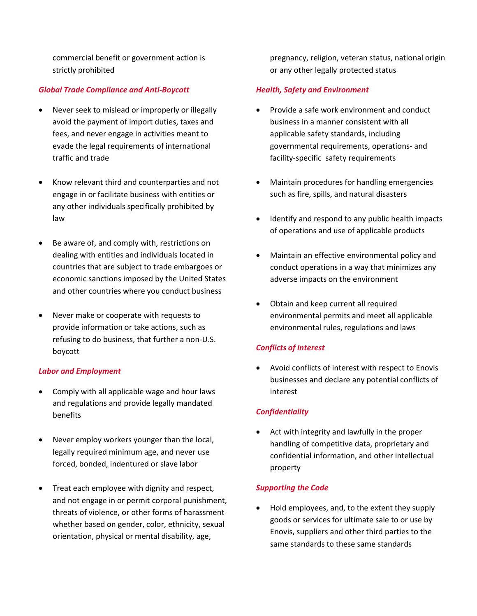commercial benefit or government action is strictly prohibited

#### *Global Trade Compliance and Anti-Boycott*

- Never seek to mislead or improperly or illegally avoid the payment of import duties, taxes and fees, and never engage in activities meant to evade the legal requirements of international traffic and trade
- Know relevant third and counterparties and not engage in or facilitate business with entities or any other individuals specifically prohibited by law
- Be aware of, and comply with, restrictions on dealing with entities and individuals located in countries that are subject to trade embargoes or economic sanctions imposed by the United States and other countries where you conduct business
- Never make or cooperate with requests to provide information or take actions, such as refusing to do business, that further a non-U.S. boycott

#### *Labor and Employment*

- Comply with all applicable wage and hour laws and regulations and provide legally mandated benefits
- Never employ workers younger than the local, legally required minimum age, and never use forced, bonded, indentured or slave labor
- Treat each employee with dignity and respect, and not engage in or permit corporal punishment, threats of violence, or other forms of harassment whether based on gender, color, ethnicity, sexual orientation, physical or mental disability, age,

pregnancy, religion, veteran status, national origin or any other legally protected status

#### *Health, Safety and Environment*

- Provide a safe work environment and conduct business in a manner consistent with all applicable safety standards, including governmental requirements, operations- and facility-specific safety requirements
- Maintain procedures for handling emergencies such as fire, spills, and natural disasters
- Identify and respond to any public health impacts of operations and use of applicable products
- Maintain an effective environmental policy and conduct operations in a way that minimizes any adverse impacts on the environment
- Obtain and keep current all required environmental permits and meet all applicable environmental rules, regulations and laws

#### *Conflicts of Interest*

Avoid conflicts of interest with respect to Enovis businesses and declare any potential conflicts of interest

#### *Confidentiality*

Act with integrity and lawfully in the proper handling of competitive data, proprietary and confidential information, and other intellectual property

#### *Supporting the Code*

• Hold employees, and, to the extent they supply goods or services for ultimate sale to or use by Enovis, suppliers and other third parties to the same standards to these same standards